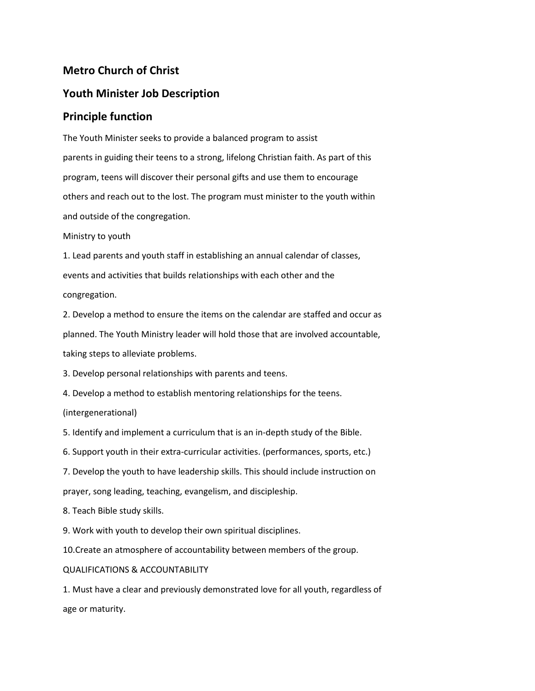## **Metro Church of Christ**

## **Youth Minister Job Description**

## **Principle function**

The Youth Minister seeks to provide a balanced program to assist parents in guiding their teens to a strong, lifelong Christian faith. As part of this program, teens will discover their personal gifts and use them to encourage others and reach out to the lost. The program must minister to the youth within and outside of the congregation.

Ministry to youth

1. Lead parents and youth staff in establishing an annual calendar of classes, events and activities that builds relationships with each other and the congregation.

2. Develop a method to ensure the items on the calendar are staffed and occur as planned. The Youth Ministry leader will hold those that are involved accountable, taking steps to alleviate problems.

3. Develop personal relationships with parents and teens.

4. Develop a method to establish mentoring relationships for the teens.

(intergenerational)

5. Identify and implement a curriculum that is an in-depth study of the Bible.

6. Support youth in their extra-curricular activities. (performances, sports, etc.)

7. Develop the youth to have leadership skills. This should include instruction on

prayer, song leading, teaching, evangelism, and discipleship.

8. Teach Bible study skills.

9. Work with youth to develop their own spiritual disciplines.

10.Create an atmosphere of accountability between members of the group.

## QUALIFICATIONS & ACCOUNTABILITY

1. Must have a clear and previously demonstrated love for all youth, regardless of age or maturity.